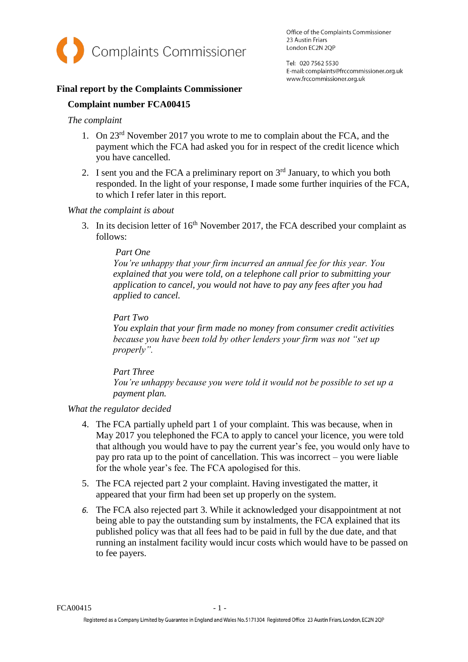

Office of the Complaints Commissioner 23 Austin Friars London EC2N 2QP

Tel: 020 7562 5530 E-mail: complaints@frccommissioner.org.uk www.frccommissioner.org.uk

## **Final report by the Complaints Commissioner**

## **Complaint number FCA00415**

### *The complaint*

- 1. On 23rd November 2017 you wrote to me to complain about the FCA, and the payment which the FCA had asked you for in respect of the credit licence which you have cancelled.
- 2. I sent you and the FCA a preliminary report on  $3<sup>rd</sup>$  January, to which you both responded. In the light of your response, I made some further inquiries of the FCA, to which I refer later in this report.

#### *What the complaint is about*

3. In its decision letter of  $16<sup>th</sup>$  November 2017, the FCA described your complaint as follows:

#### *Part One*

*You're unhappy that your firm incurred an annual fee for this year. You explained that you were told, on a telephone call prior to submitting your application to cancel, you would not have to pay any fees after you had applied to cancel.* 

#### *Part Two*

*You explain that your firm made no money from consumer credit activities because you have been told by other lenders your firm was not "set up properly".* 

*Part Three You're unhappy because you were told it would not be possible to set up a payment plan.*

### *What the regulator decided*

- 4. The FCA partially upheld part 1 of your complaint. This was because, when in May 2017 you telephoned the FCA to apply to cancel your licence, you were told that although you would have to pay the current year's fee, you would only have to pay pro rata up to the point of cancellation. This was incorrect – you were liable for the whole year's fee. The FCA apologised for this.
- 5. The FCA rejected part 2 your complaint. Having investigated the matter, it appeared that your firm had been set up properly on the system.
- *6.* The FCA also rejected part 3. While it acknowledged your disappointment at not being able to pay the outstanding sum by instalments, the FCA explained that its published policy was that all fees had to be paid in full by the due date, and that running an instalment facility would incur costs which would have to be passed on to fee payers.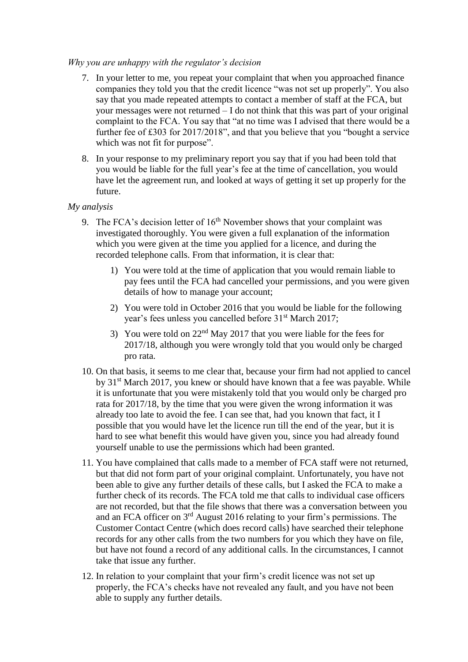### *Why you are unhappy with the regulator's decision*

- 7. In your letter to me, you repeat your complaint that when you approached finance companies they told you that the credit licence "was not set up properly". You also say that you made repeated attempts to contact a member of staff at the FCA, but your messages were not returned – I do not think that this was part of your original complaint to the FCA. You say that "at no time was I advised that there would be a further fee of £303 for 2017/2018", and that you believe that you "bought a service which was not fit for purpose".
- 8. In your response to my preliminary report you say that if you had been told that you would be liable for the full year's fee at the time of cancellation, you would have let the agreement run, and looked at ways of getting it set up properly for the future.

## *My analysis*

- 9. The FCA's decision letter of  $16<sup>th</sup>$  November shows that your complaint was investigated thoroughly. You were given a full explanation of the information which you were given at the time you applied for a licence, and during the recorded telephone calls. From that information, it is clear that:
	- 1) You were told at the time of application that you would remain liable to pay fees until the FCA had cancelled your permissions, and you were given details of how to manage your account;
	- 2) You were told in October 2016 that you would be liable for the following year's fees unless you cancelled before 31<sup>st</sup> March 2017;
	- 3) You were told on  $22<sup>nd</sup>$  May 2017 that you were liable for the fees for 2017/18, although you were wrongly told that you would only be charged pro rata.
- 10. On that basis, it seems to me clear that, because your firm had not applied to cancel by 31<sup>st</sup> March 2017, you knew or should have known that a fee was payable. While it is unfortunate that you were mistakenly told that you would only be charged pro rata for 2017/18, by the time that you were given the wrong information it was already too late to avoid the fee. I can see that, had you known that fact, it I possible that you would have let the licence run till the end of the year, but it is hard to see what benefit this would have given you, since you had already found yourself unable to use the permissions which had been granted.
- 11. You have complained that calls made to a member of FCA staff were not returned, but that did not form part of your original complaint. Unfortunately, you have not been able to give any further details of these calls, but I asked the FCA to make a further check of its records. The FCA told me that calls to individual case officers are not recorded, but that the file shows that there was a conversation between you and an FCA officer on 3rd August 2016 relating to your firm's permissions. The Customer Contact Centre (which does record calls) have searched their telephone records for any other calls from the two numbers for you which they have on file, but have not found a record of any additional calls. In the circumstances, I cannot take that issue any further.
- 12. In relation to your complaint that your firm's credit licence was not set up properly, the FCA's checks have not revealed any fault, and you have not been able to supply any further details.